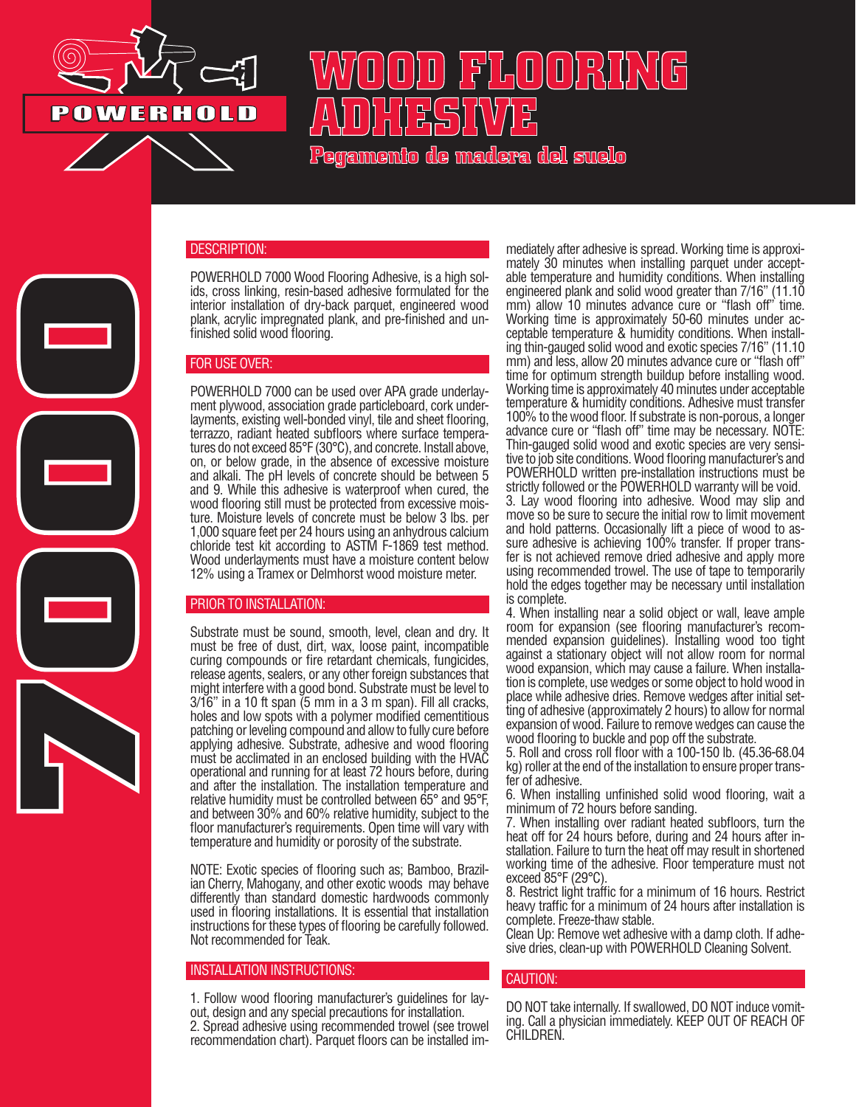

**7000**

# **WOOD FLOORING ADHESIVE**

**Pegamento de madera del suelo**

## DESCRIPTION:

POWERHOLD 7000 Wood Flooring Adhesive, is a high sol- ids, cross linking, resin-based adhesive formulated for the interior installation of dry-back parquet, engineered wood plank, acrylic impregnated plank, and pre-finished and un- finished solid wood flooring.

## FOR USE OVER:

POWERHOLD 7000 can be used over APA grade underlayment plywood, association grade particleboard, cork underlayments, existing well-bonded vinyl, tile and sheet flooring, terrazzo, radiant heated subfloors where surface temperatures do not exceed 85°F (30°C), and concrete. Install above, on, or below grade, in the absence of excessive moisture and alkali. The pH levels of concrete should be between 5 and 9. While this adhesive is waterproof when cured, the wood flooring still must be protected from excessive moisture. Moisture levels of concrete must be below 3 lbs. per 1,000 square feet per 24 hours using an anhydrous calcium chloride test kit according to ASTM F-1869 test method. Wood underlayments must have a moisture content below 12% using a Tramex or Delmhorst wood moisture meter.

#### PRIOR TO INSTALLATION:

Substrate must be sound, smooth, level, clean and dry. It must be free of dust, dirt, wax, loose paint, incompatible curing compounds or fire retardant chemicals, fungicides, release agents, sealers, or any other foreign substances that might interfere with a good bond. Substrate must be level to 3/16" in a 10 ft span (5 mm in a 3 m span). Fill all cracks, holes and low spots with a polymer modified cementitious patching or leveling compound and allow to fully cure before applying adhesive. Substrate, adhesive and wood flooring must be acclimated in an enclosed building with the HVAC operational and running for at least 72 hours before, during and after the installation. The installation temperature and relative humidity must be controlled between 65° and 95°F, and between 30% and 60% relative humidity, subject to the floor manufacturer's requirements. Open time will vary with temperature and humidity or porosity of the substrate.

NOTE: Exotic species of flooring such as; Bamboo, Brazilian Cherry, Mahogany, and other exotic woods may behave differently than standard domestic hardwoods commonly used in flooring installations. It is essential that installation instructions for these types of flooring be carefully followed. Not recommended for Teak.

#### INSTALLATION INSTRUCTIONS:

1. Follow wood flooring manufacturer's guidelines for layout, design and any special precautions for installation. 2. Spread adhesive using recommended trowel (see trowel recommendation chart). Parquet floors can be installed im-

mediately after adhesive is spread. Working time is approxi- mately 30 minutes when installing parquet under accept- able temperature and humidity conditions. When installing engineered plank and solid wood greater than 7/16" (11.10 mm) allow 10 minutes advance cure or "flash off" time. Working time is approximately 50-60 minutes under ac- ceptable temperature & humidity conditions. When install- ing thin-gauged solid wood and exotic species 7/16" (11.10 mm) and less, allow 20 minutes advance cure or "flash off" time for optimum strength buildup before installing wood. Working time is approximately 40 minutes under acceptable temperature & humidity conditions. Adhesive must transfer 100% to the wood floor. If substrate is non-porous, a longer advance cure or "flash off" time may be necessary. NOTE: Thin-gauged solid wood and exotic species are very sensi- tive to job site conditions. Wood flooring manufacturer's and POWERHOLD written pre-installation instructions must be strictly followed or the POWERHOLD warranty will be void. 3. Lay wood flooring into adhesive. Wood may slip and move so be sure to secure the initial row to limit movement and hold patterns. Occasionally lift a piece of wood to assure adhesive is achieving 100% transfer. If proper transfer is not achieved remove dried adhesive and apply more using recommended trowel. The use of tape to temporarily hold the edges together may be necessary until installation is complete.

4. When installing near a solid object or wall, leave ample room for expansion (see flooring manufacturer's recom- mended expansion guidelines). Installing wood too tight against a stationary object will not allow room for normal wood expansion, which may cause a failure. When installation is complete, use wedges or some object to hold wood in place while adhesive dries. Remove wedges after initial setting of adhesive (approximately 2 hours) to allow for normal expansion of wood. Failure to remove wedges can cause the wood flooring to buckle and pop off the substrate.

5. Roll and cross roll floor with a 100-150 lb. (45.36-68.04 kg) roller at the end of the installation to ensure proper transfer of adhesive.

6. When installing unfinished solid wood flooring, wait a minimum of 72 hours before sanding.

7. When installing over radiant heated subfloors, turn the heat off for 24 hours before, during and 24 hours after installation. Failure to turn the heat off may result in shortened working time of the adhesive. Floor temperature must not exceed 85°F (29°C).

8. Restrict light traffic for a minimum of 16 hours. Restrict heavy traffic for a minimum of 24 hours after installation is complete. Freeze-thaw stable.

Clean Up: Remove wet adhesive with a damp cloth. If adhesive dries, clean-up with POWERHOLD Cleaning Solvent.

### CAUTION:

DO NOT take internally. If swallowed, DO NOT induce vomiting. Call a physician immediately. KEEP OUT OF REACH OF CHILDREN.